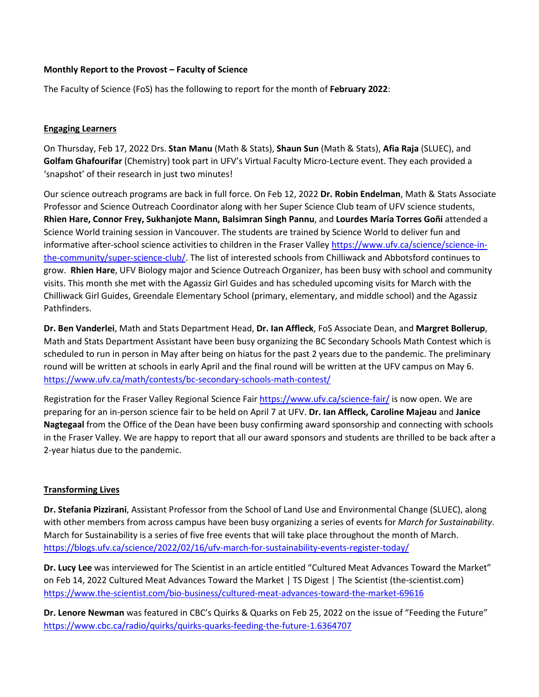## **Monthly Report to the Provost – Faculty of Science**

The Faculty of Science (FoS) has the following to report for the month of **February 2022**:

## **Engaging Learners**

On Thursday, Feb 17, 2022 Drs. **Stan Manu** (Math & Stats), **Shaun Sun** (Math & Stats), **Afia Raja** (SLUEC), and **Golfam Ghafourifar** (Chemistry) took part in UFV's Virtual Faculty Micro-Lecture event. They each provided a 'snapshot' of their research in just two minutes!

Our science outreach programs are back in full force. On Feb 12, 2022 **Dr. Robin Endelman**, Math & Stats Associate Professor and Science Outreach Coordinator along with her Super Science Club team of UFV science students, **Rhien Hare, Connor Frey, Sukhanjote Mann, Balsimran Singh Pannu**, and **Lourdes María Torres Goñi** attended a Science World training session in Vancouver. The students are trained by Science World to deliver fun and informative after-school science activities to children in the Fraser Valley [https://www.ufv.ca/science/science-in](https://www.ufv.ca/science/science-in-the-community/super-science-club/)[the-community/super-science-club/.](https://www.ufv.ca/science/science-in-the-community/super-science-club/) The list of interested schools from Chilliwack and Abbotsford continues to grow. **Rhien Hare**, UFV Biology major and Science Outreach Organizer, has been busy with school and community visits. This month she met with the Agassiz Girl Guides and has scheduled upcoming visits for March with the Chilliwack Girl Guides, Greendale Elementary School (primary, elementary, and middle school) and the Agassiz Pathfinders.

**Dr. Ben Vanderlei**, Math and Stats Department Head, **Dr. Ian Affleck**, FoS Associate Dean, and **Margret Bollerup**, Math and Stats Department Assistant have been busy organizing the BC Secondary Schools Math Contest which is scheduled to run in person in May after being on hiatus for the past 2 years due to the pandemic. The preliminary round will be written at schools in early April and the final round will be written at the UFV campus on May 6. <https://www.ufv.ca/math/contests/bc-secondary-schools-math-contest/>

Registration for the Fraser Valley Regional Science Fair<https://www.ufv.ca/science-fair/> is now open. We are preparing for an in-person science fair to be held on April 7 at UFV. **Dr. Ian Affleck, Caroline Majeau** and **Janice Nagtegaal** from the Office of the Dean have been busy confirming award sponsorship and connecting with schools in the Fraser Valley. We are happy to report that all our award sponsors and students are thrilled to be back after a 2-year hiatus due to the pandemic.

### **Transforming Lives**

**Dr. Stefania Pizzirani**, Assistant Professor from the School of Land Use and Environmental Change (SLUEC), along with other members from across campus have been busy organizing a series of events for *March for Sustainability*. March for Sustainability is a series of five free events that will take place throughout the month of March. <https://blogs.ufv.ca/science/2022/02/16/ufv-march-for-sustainability-events-register-today/>

**Dr. Lucy Lee** was interviewed for The Scientist in an article entitled "Cultured Meat Advances Toward the Market" on Feb 14, 2022 Cultured Meat Advances Toward the Market | TS Digest | The Scientist (the-scientist.com) https://www.the-scientist.com/bio-business/cultured-meat-advances-toward-the-market-69616

**Dr. Lenore Newman** was featured in CBC's Quirks & Quarks on Feb 25, 2022 on the issue of "Feeding the Future" <https://www.cbc.ca/radio/quirks/quirks-quarks-feeding-the-future-1.6364707>